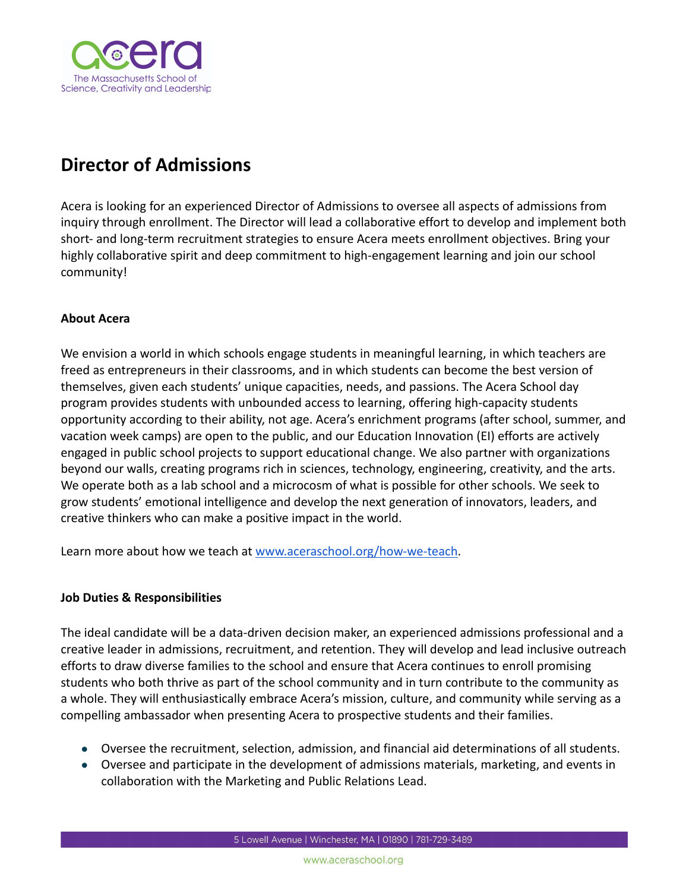

# **Director of Admissions**

Acera is looking for an experienced Director of Admissions to oversee all aspects of admissions from inquiry through enrollment. The Director will lead a collaborative effort to develop and implement both short- and long-term recruitment strategies to ensure Acera meets enrollment objectives. Bring your highly collaborative spirit and deep commitment to high-engagement learning and join our school community!

### **About Acera**

We envision a world in which schools engage students in meaningful learning, in which teachers are freed as entrepreneurs in their classrooms, and in which students can become the best version of themselves, given each students' unique capacities, needs, and passions. The Acera School day program provides students with unbounded access to learning, offering high-capacity students opportunity according to their ability, not age. Acera's enrichment programs (after school, summer, and vacation week camps) are open to the public, and our Education Innovation (EI) efforts are actively engaged in public school projects to support educational change. We also partner with organizations beyond our walls, creating programs rich in sciences, technology, engineering, creativity, and the arts. We operate both as a lab school and a microcosm of what is possible for other schools. We seek to grow students' emotional intelligence and develop the next generation of innovators, leaders, and creative thinkers who can make a positive impact in the world.

Learn more about how we teach at [www.aceraschool.org/how-we-teach.](https://www.aceraschool.org/how-we-teach)

#### **Job Duties & Responsibilities**

The ideal candidate will be a data-driven decision maker, an experienced admissions professional and a creative leader in admissions, recruitment, and retention. They will develop and lead inclusive outreach efforts to draw diverse families to the school and ensure that Acera continues to enroll promising students who both thrive as part of the school community and in turn contribute to the community as a whole. They will enthusiastically embrace Acera's mission, culture, and community while serving as a compelling ambassador when presenting Acera to prospective students and their families.

- Oversee the recruitment, selection, admission, and financial aid determinations of all students.
- Oversee and participate in the development of admissions materials, marketing, and events in collaboration with the Marketing and Public Relations Lead.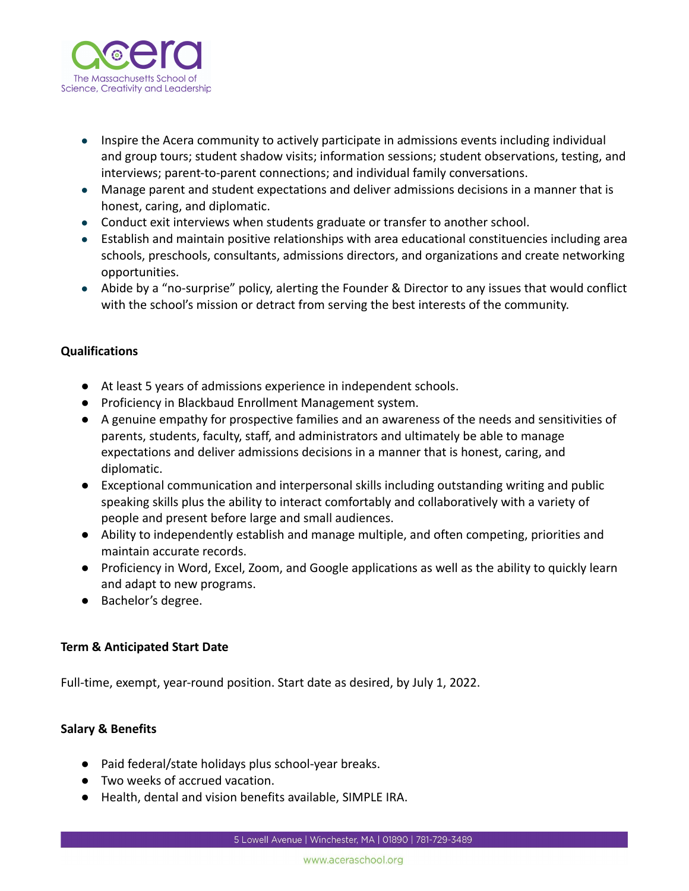

- Inspire the Acera community to actively participate in admissions events including individual and group tours; student shadow visits; information sessions; student observations, testing, and interviews; parent-to-parent connections; and individual family conversations.
- Manage parent and student expectations and deliver admissions decisions in a manner that is honest, caring, and diplomatic.
- Conduct exit interviews when students graduate or transfer to another school.
- Establish and maintain positive relationships with area educational constituencies including area schools, preschools, consultants, admissions directors, and organizations and create networking opportunities.
- Abide by a "no-surprise" policy, alerting the Founder & Director to any issues that would conflict with the school's mission or detract from serving the best interests of the community.

### **Qualifications**

- At least 5 years of admissions experience in independent schools.
- Proficiency in Blackbaud Enrollment Management system.
- A genuine empathy for prospective families and an awareness of the needs and sensitivities of parents, students, faculty, staff, and administrators and ultimately be able to manage expectations and deliver admissions decisions in a manner that is honest, caring, and diplomatic.
- Exceptional communication and interpersonal skills including outstanding writing and public speaking skills plus the ability to interact comfortably and collaboratively with a variety of people and present before large and small audiences.
- Ability to independently establish and manage multiple, and often competing, priorities and maintain accurate records.
- Proficiency in Word, Excel, Zoom, and Google applications as well as the ability to quickly learn and adapt to new programs.
- Bachelor's degree.

## **Term & Anticipated Start Date**

Full-time, exempt, year-round position. Start date as desired, by July 1, 2022.

#### **Salary & Benefits**

- Paid federal/state holidays plus school-year breaks.
- Two weeks of accrued vacation.
- Health, dental and vision benefits available, SIMPLE IRA.